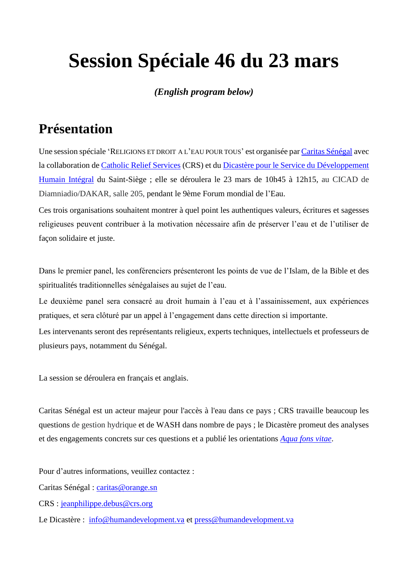# **Session Spéciale 46 du 23 mars**

#### *(English program below)*

## **Présentation**

Une session spéciale 'RELIGIONS ET DROIT A L'EAU POUR TOUS' est organisée par Caritas Sénégal avec la collaboration de Catholic Relief Services (CRS) et du Dicastère pour le Service du Développement Humain Intégral du Saint-Siège ; elle se déroulera le 23 mars de 10h45 à 12h15, au CICAD de Diamniadio/DAKAR, salle 205, pendant le 9ème Forum mondial de l'Eau.

Ces trois organisations souhaitent montrer à quel point les authentiques valeurs, écritures et sagesses religieuses peuvent contribuer à la motivation nécessaire afin de préserver l'eau et de l'utiliser de façon solidaire et juste.

Dans le premier panel, les conférenciers présenteront les points de vue de l'Islam, de la Bible et des spiritualités traditionnelles sénégalaises au sujet de l'eau.

Le deuxième panel sera consacré au droit humain à l'eau et à l'assainissement, aux expériences pratiques, et sera clôturé par un appel à l'engagement dans cette direction si importante.

Les intervenants seront des représentants religieux, experts techniques, intellectuels et professeurs de plusieurs pays, notamment du Sénégal.

La session se déroulera en français et anglais.

Caritas Sénégal est un acteur majeur pour l'accès à l'eau dans ce pays ; CRS travaille beaucoup les questions de gestion hydrique et de WASH dans nombre de pays ; le Dicastère promeut des analyses et des engagements concrets sur ces questions et a publié les orientations *Aqua fons vitae*.

Pour d'autres informations, veuillez contactez :

Caritas Sénégal : caritas@orange.sn

CRS : jeanphilippe.debus@crs.org

Le Dicastère : info@humandevelopment.va et press@humandevelopment.va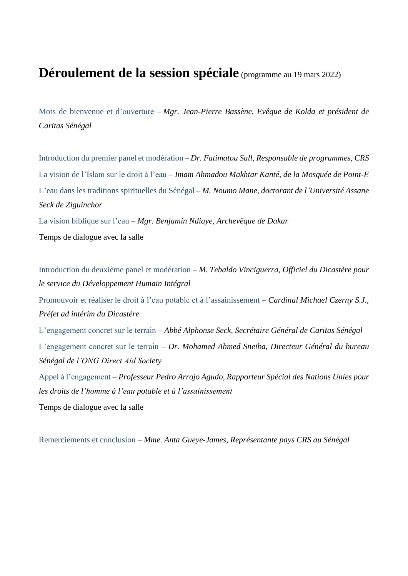#### **Déroulement de la session spéciale** (programme au <sup>19</sup> mars 2022)

Mots de bienvenue et d'ouverture – *Mgr. Jean-Pierre Bassène, Evêque de Kolda et président de Caritas Sénégal*

Introduction du premier panel et modération – *Dr. Fatimatou Sall, Responsable de programmes, CRS* La vision de l'Islam sur le droit à l'eau – *Imam Ahmadou Makhtar Kanté, de la Mosquée de Point-E* L'eau dans les traditions spirituelles du Sénégal – *M. Noumo Mane, doctorant de l'Université Assane Seck de Ziguinchor*

La vision biblique sur l'eau – *Mgr. Benjamin Ndiaye, Archevêque de Dakar*

Temps de dialogue avec la salle

Introduction du deuxième panel et modération – *M. Tebaldo Vinciguerra, Officiel du Dicastère pour le service du Développement Humain Intégral* Promouvoir et réaliser le droit à l'eau potable et à l'assainissement – *Cardinal Michael Czerny S.J., Préfet ad intérim du Dicastère* L'engagement concret sur le terrain – *Abbé Alphonse Seck, Secrétaire Général de Caritas Sénégal* L'engagement concret sur le terrain – *Dr. Mohamed Ahmed Sneiba, Directeur Général du bureau Sénégal de l'ONG Direct Aid Society* Appel à l'engagement – *Professeur Pedro Arrojo Agudo, Rapporteur Spécial des Nations Unies pour les droits de l'homme à l'eau potable et à l'assainissement* Temps de dialogue avec la salle

Remerciements et conclusion – *Mme. Anta Gueye-James, Représentante pays CRS au Sénégal*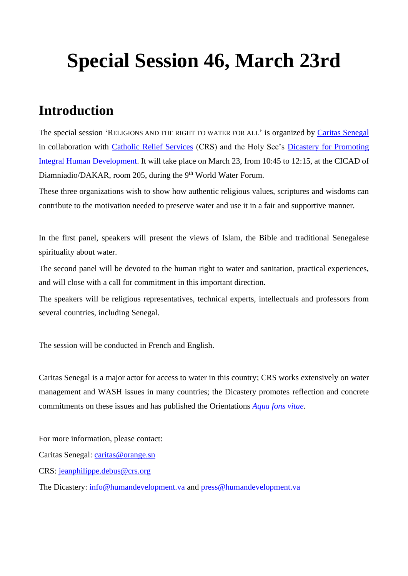# **Special Session 46, March 23rd**

### **Introduction**

The special session 'RELIGIONS AND THE RIGHT TO WATER FOR ALL' is organized by Caritas Senegal in collaboration with Catholic Relief Services (CRS) and the Holy See's Dicastery for Promoting Integral Human Development. It will take place on March 23, from 10:45 to 12:15, at the CICAD of Diamniadio/DAKAR, room 205, during the 9<sup>th</sup> World Water Forum.

These three organizations wish to show how authentic religious values, scriptures and wisdoms can contribute to the motivation needed to preserve water and use it in a fair and supportive manner.

In the first panel, speakers will present the views of Islam, the Bible and traditional Senegalese spirituality about water.

The second panel will be devoted to the human right to water and sanitation, practical experiences, and will close with a call for commitment in this important direction.

The speakers will be religious representatives, technical experts, intellectuals and professors from several countries, including Senegal.

The session will be conducted in French and English.

Caritas Senegal is a major actor for access to water in this country; CRS works extensively on water management and WASH issues in many countries; the Dicastery promotes reflection and concrete commitments on these issues and has published the Orientations *Aqua fons vitae*.

For more information, please contact:

Caritas Senegal: caritas@orange.sn

CRS: jeanphilippe.debus@crs.org

The Dicastery: info@humandevelopment.va and press@humandevelopment.va